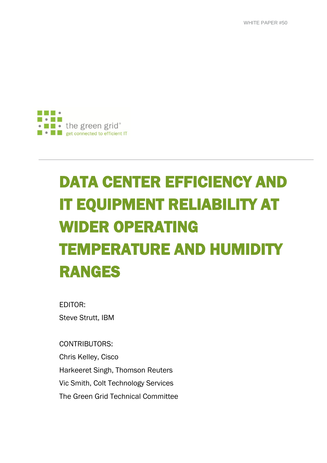WHITE PAPER #50



# DATA CENTER EFFICIENCY AND IT EQUIPMENT RELIABILITY AT WIDER OPERATING TEMPERATURE AND HUMIDITY RANGES

EDITOR: Steve Strutt, IBM

CONTRIBUTORS: Chris Kelley, Cisco Harkeeret Singh, Thomson Reuters Vic Smith, Colt Technology Services The Green Grid Technical Committee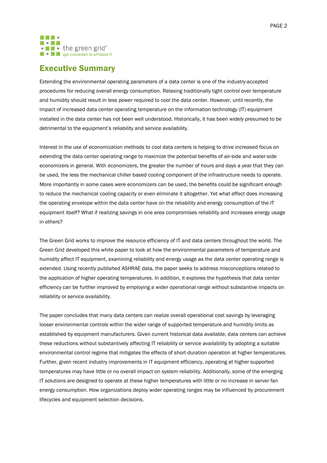

# Executive Summary

Extending the environmental operating parameters of a data center is one of the industry-accepted procedures for reducing overall energy consumption. Relaxing traditionally tight control over temperature and humidity should result in less power required to cool the data center. However, until recently, the impact of increased data center operating temperature on the information technology (IT) equipment installed in the data center has not been well understood. Historically, it has been widely presumed to be detrimental to the equipment's reliability and service availability.

Interest in the use of economization methods to cool data centers is helping to drive increased focus on extending the data center operating range to maximize the potential benefits of air-side and water-side economizers in general. With economizers, the greater the number of hours and days a year that they can be used, the less the mechanical chiller based cooling component of the infrastructure needs to operate. More importantly in some cases were economizers can be used, the benefits could be significant enough to reduce the mechanical cooling capacity or even eliminate it altogether. Yet what effect does increasing the operating envelope within the data center have on the reliability and energy consumption of the IT equipment itself? What if realizing savings in one area compromises reliability and increases energy usage in others?

The Green Grid works to improve the resource efficiency of IT and data centers throughout the world. The Green Grid developed this white paper to look at how the environmental parameters of temperature and humidity affect IT equipment, examining reliability and energy usage as the data center operating range is extended. Using recently published ASHRAE data, the paper seeks to address misconceptions related to the application of higher operating temperatures. In addition, it explores the hypothesis that data center efficiency can be further improved by employing a wider operational range without substantive impacts on reliability or service availability.

The paper concludes that many data centers can realize overall operational cost savings by leveraging looser environmental controls within the wider range of supported temperature and humidity limits as established by equipment manufacturers. Given current historical data available, data centers can achieve these reductions without substantively affecting IT reliability or service availability by adopting a suitable environmental control regime that mitigates the effects of short-duration operation at higher temperatures. Further, given recent industry improvements in IT equipment efficiency, operating at higher supported temperatures may have little or no overall impact on system reliability. Additionally, some of the emerging IT solutions are designed to operate at these higher temperatures with little or no increase in server fan energy consumption. How organizations deploy wider operating ranges may be influenced by procurement lifecycles and equipment selection decisions.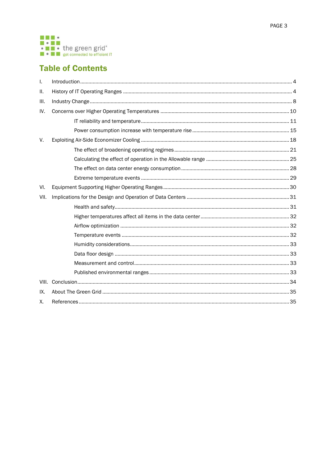

# **Table of Contents**

| Τ.    |  |  |  |
|-------|--|--|--|
| Ш.    |  |  |  |
| III.  |  |  |  |
| IV.   |  |  |  |
|       |  |  |  |
|       |  |  |  |
| V.    |  |  |  |
|       |  |  |  |
|       |  |  |  |
|       |  |  |  |
|       |  |  |  |
| VI.   |  |  |  |
| VII.  |  |  |  |
|       |  |  |  |
|       |  |  |  |
|       |  |  |  |
|       |  |  |  |
|       |  |  |  |
|       |  |  |  |
|       |  |  |  |
|       |  |  |  |
| VIII. |  |  |  |
| IX.   |  |  |  |
| Χ.    |  |  |  |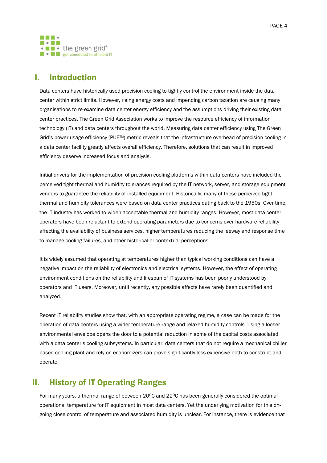

# <span id="page-3-0"></span>I. Introduction

Data centers have historically used precision cooling to tightly control the environment inside the data center within strict limits. However, rising energy costs and impending carbon taxation are causing many organisations to re-examine data center energy efficiency and the assumptions driving their existing data center practices. The Green Grid Association works to improve the resource efficiency of information technology (IT) and data centers throughout the world. Measuring data center efficiency using The Green Grid's power usage efficiency (PUE™) metric reveals that the infrastructure overhead of precision cooling in a data center facility greatly affects overall efficiency. Therefore, solutions that can result in improved efficiency deserve increased focus and analysis.

Initial drivers for the implementation of precision cooling platforms within data centers have included the perceived tight thermal and humidity tolerances required by the IT network, server, and storage equipment vendors to guarantee the reliability of installed equipment. Historically, many of these perceived tight thermal and humidity tolerances were based on data center practices dating back to the 1950s. Over time, the IT industry has worked to widen acceptable thermal and humidity ranges. However, most data center operators have been reluctant to extend operating parameters due to concerns over hardware reliability affecting the availability of business services, higher temperatures reducing the leeway and response time to manage cooling failures, and other historical or contextual perceptions.

It is widely assumed that operating at temperatures higher than typical working conditions can have a negative impact on the reliability of electronics and electrical systems. However, the effect of operating environment conditions on the reliability and lifespan of IT systems has been poorly understood by operators and IT users. Moreover, until recently, any possible affects have rarely been quantified and analyzed.

Recent IT reliability studies show that, with an appropriate operating regime, a case can be made for the operation of data centers using a wider temperature range and relaxed humidity controls. Using a looser environmental envelope opens the door to a potential reduction in some of the capital costs associated with a data center's cooling subsystems. In particular, data centers that do not require a mechanical chiller based cooling plant and rely on economizers can prove significantly less expensive both to construct and operate.

# <span id="page-3-1"></span>II. History of IT Operating Ranges

For many years, a thermal range of between 20°C and 22°C has been generally considered the optimal operational temperature for IT equipment in most data centers. Yet the underlying motivation for this ongoing close control of temperature and associated humidity is unclear. For instance, there is evidence that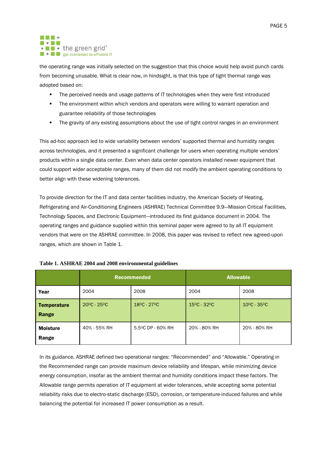#### . . . **MODES** • • the green grid\* **E e E** get connected to efficient IT

the operating range was initially selected on the suggestion that this choice would help avoid punch cards from becoming unusable. What is clear now, in hindsight, is that this type of tight thermal range was adopted based on:

- **The perceived needs and usage patterns of IT technologies when they were first introduced**
- **The environment within which vendors and operators were willing to warrant operation and** guarantee reliability of those technologies
- **The gravity of any existing assumptions about the use of tight control ranges in an environment**

This ad-hoc approach led to wide variability between vendors' supported thermal and humidity ranges across technologies, and it presented a significant challenge for users when operating multiple vendors' products within a single data center. Even when data center operators installed newer equipment that could support wider acceptable ranges, many of them did not modify the ambient operating conditions to better align with these widening tolerances.

To provide direction for the IT and data center facilities industry, the American Society of Heating, Refrigerating and Air-Conditioning Engineers (ASHRAE) Technical Committee 9.9—Mission Critical Facilities, Technology Spaces, and Electronic Equipment—introduced its first guidance document in 2004. The operating ranges and guidance supplied within this seminal paper were agreed to by all IT equipment vendors that were on the ASHRAE committee. In 2008, this paper was revised to reflect new agreed-upon ranges, which are shown in [Table 1.](#page-4-0)

|                          | <b>Recommended</b>               |                   | <b>Allowable</b> |                                  |  |
|--------------------------|----------------------------------|-------------------|------------------|----------------------------------|--|
| Year                     | 2004                             | 2008              | 2004             | 2008                             |  |
| Temperature<br>Range     | $20^{\circ}$ C - 25 $^{\circ}$ C | 18ºC - 27ºC       | 15°C - 32°C      | $10^{\circ}$ C - 35 $^{\circ}$ C |  |
| <b>Moisture</b><br>Range | 40% - 55% RH                     | 5.5°C DP - 60% RH | 20% - 80% RH     | 20% - 80% RH                     |  |

### <span id="page-4-0"></span>**Table 1. ASHRAE 2004 and 2008 environmental guidelines**

In its guidance, ASHRAE defined two operational ranges: "Recommended" and "Allowable." Operating in the Recommended range can provide maximum device reliability and lifespan, while minimizing device energy consumption, insofar as the ambient thermal and humidity conditions impact these factors. The Allowable range permits operation of IT equipment at wider tolerances, while accepting some potential reliability risks due to electro-static discharge (ESD), corrosion, or temperature-induced failures and while balancing the potential for increased IT power consumption as a result.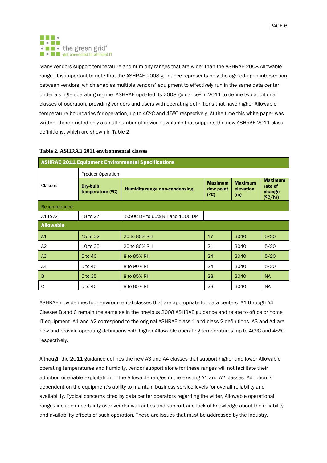<span id="page-5-1"></span>PAGE 6



Many vendors support temperature and humidity ranges that are wider than the ASHRAE 2008 Allowable range. It is important to note that the ASHRAE 2008 guidance represents only the agreed-upon intersection between vendors, which enables multiple vendors' equipment to effectively run in the same data center under a single operating regime. ASHRAE updated its 2008 guidance<sup>1</sup> in 2011 to define two additional classes of operation, providing vendors and users with operating definitions that have higher Allowable temperature boundaries for operation, up to 40°C and 45°C respectively. At the time this white paper was written, there existed only a small number of devices available that supports the new ASHRAE 2011 class definitions, which are shown in [Table 2.](#page-5-0)

#### <span id="page-5-0"></span>**Table 2. ASHRAE 2011 environmental classes**

| <b>ASHRAE 2011 Equipment Environmental Specifications</b> |                                |                                      |                                     |                                    |                                                     |  |
|-----------------------------------------------------------|--------------------------------|--------------------------------------|-------------------------------------|------------------------------------|-----------------------------------------------------|--|
|                                                           | <b>Product Operation</b>       |                                      |                                     |                                    |                                                     |  |
| Classes                                                   | Dry-bulb<br>temperature $(°C)$ | <b>Humidity range non-condensing</b> | <b>Maximum</b><br>dew point<br>(°C) | <b>Maximum</b><br>elevation<br>(m) | <b>Maximum</b><br>rate of<br>change<br>$(^{o}C/hr)$ |  |
| Recommended                                               |                                |                                      |                                     |                                    |                                                     |  |
| A1 to A4                                                  | 18 to 27                       | 5.50C DP to 60% RH and 150C DP       |                                     |                                    |                                                     |  |
| <b>Allowable</b>                                          |                                |                                      |                                     |                                    |                                                     |  |
| A1                                                        | 15 to 32                       | 20 to 80% RH                         | 17                                  | 3040                               | 5/20                                                |  |
| A2                                                        | 10 to 35                       | 20 to 80% RH                         | 21                                  | 3040                               | 5/20                                                |  |
| A3                                                        | 5 to 40                        | 8 to 85% RH                          | 24                                  | 3040                               | 5/20                                                |  |
| A4                                                        | 5 to 45                        | 8 to 90% RH                          | 24                                  | 3040                               | 5/20                                                |  |
| B                                                         | 5 to 35                        | 8 to 85% RH                          | 28                                  | 3040                               | <b>NA</b>                                           |  |
| C                                                         | 5 to 40                        | 8 to 85% RH                          | 28                                  | 3040                               | <b>NA</b>                                           |  |

ASHRAE now defines four environmental classes that are appropriate for data centers: A1 through A4. Classes B and C remain the same as in the previous 2008 ASHRAE guidance and relate to office or home IT equipment. A1 and A2 correspond to the original ASHRAE class 1 and class 2 definitions. A3 and A4 are new and provide operating definitions with higher Allowable operating temperatures, up to 40°C and 45°C respectively.

Although the 2011 guidance defines the new A3 and A4 classes that support higher and lower Allowable operating temperatures and humidity, vendor support alone for these ranges will not facilitate their adoption or enable exploitation of the Allowable ranges in the existing A1 and A2 classes. Adoption is dependent on the equipment's ability to maintain business service levels for overall reliability and availability. Typical concerns cited by data center operators regarding the wider, Allowable operational ranges include uncertainty over vendor warranties and support and lack of knowledge about the reliability and availability effects of such operation. These are issues that must be addressed by the industry.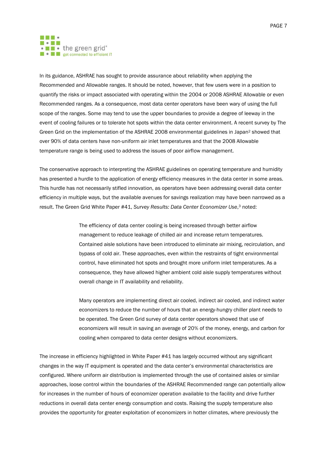#### . . . **Modu** • • the green grid<sup>®</sup> **E e E** get connected to efficient IT

In its guidance, ASHRAE has sought to provide assurance about reliability when applying the Recommended and Allowable ranges. It should be noted, however, that few users were in a position to quantify the risks or impact associated with operating within the 2004 or 2008 ASHRAE Allowable or even Recommended ranges. As a consequence, most data center operators have been wary of using the full scope of the ranges. Some may tend to use the upper boundaries to provide a degree of leeway in the event of cooling failures or to tolerate hot spots within the data center environment. A recent survey by The Green Grid on the implementation of the ASHRAE 2008 environmental guidelines in Japan<sup>2</sup> showed that over 90% of data centers have non-uniform air inlet temperatures and that the 2008 Allowable temperature range is being used to address the issues of poor airflow management.

The conservative approach to interpreting the ASHRAE guidelines on operating temperature and humidity has presented a hurdle to the application of energy efficiency measures in the data center in some areas. This hurdle has not necessarily stifled innovation, as operators have been addressing overall data center efficiency in multiple ways, but the available avenues for savings realization may have been narrowed as a result. The Green Grid White Paper #41, *Survey Results: Data Center Economizer Use*, <sup>3</sup> noted:

> <span id="page-6-0"></span>The efficiency of data center cooling is being increased through better airflow management to reduce leakage of chilled air and increase return temperatures. Contained aisle solutions have been introduced to eliminate air mixing, recirculation, and bypass of cold air. These approaches, even within the restraints of tight environmental control, have eliminated hot spots and brought more uniform inlet temperatures. As a consequence, they have allowed higher ambient cold aisle supply temperatures without overall change in IT availability and reliability.

> Many operators are implementing direct air cooled, indirect air cooled, and indirect water economizers to reduce the number of hours that an energy-hungry chiller plant needs to be operated. The Green Grid survey of data center operators showed that use of economizers will result in saving an average of 20% of the money, energy, and carbon for cooling when compared to data center designs without economizers.

The increase in efficiency highlighted in White Paper #41 has largely occurred without any significant changes in the way IT equipment is operated and the data center's environmental characteristics are configured. Where uniform air distribution is implemented through the use of contained aisles or similar approaches, loose control within the boundaries of the ASHRAE Recommended range can potentially allow for increases in the number of hours of economizer operation available to the facility and drive further reductions in overall data center energy consumption and costs. Raising the supply temperature also provides the opportunity for greater exploitation of economizers in hotter climates, where previously the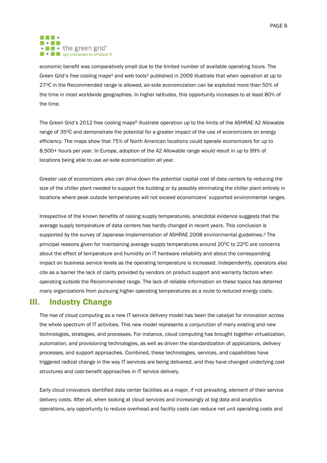#### . . . **MODES** . I . the green grid<sup>®</sup> **E e E** get connected to efficient IT

<span id="page-7-2"></span><span id="page-7-1"></span>economic benefit was comparatively small due to the limited number of available operating hours. The Green Grid's free cooling maps<sup>4</sup> and web tools<sup>5</sup> published in 2009 illustrate that when operation at up to 27OC in the Recommended range is allowed, air-side economization can be exploited more than 50% of the time in most worldwide geographies. In higher latitudes, this opportunity increases to at least 80% of the time.

<span id="page-7-3"></span>The Green Grid's 2012 free cooling maps<sup>6</sup> illustrate operation up to the limits of the ASHRAE A2 Allowable range of 35°C and demonstrate the potential for a greater impact of the use of economizers on energy efficiency. The maps show that 75% of North American locations could operate economizers for up to 8,500+ hours per year. In Europe, adoption of the A2 Allowable range would result in up to 99% of locations being able to use air-side economization all year.

Greater use of economizers also can drive down the potential capital cost of data centers by reducing the size of the chiller plant needed to support the building or by possibly eliminating the chiller plant entirely in locations where peak outside temperatures will not exceed economizers' supported environmental ranges.

Irrespective of the known benefits of raising supply temperatures, anecdotal evidence suggests that the average supply temperature of data centers has hardly changed in recent years. This conclusion is supported by the survey of Japanese implementation of ASHRAE [2](#page-6-0)008 environmental guidelines.<sup>2</sup> The principal reasons given for maintaining average supply temperatures around  $20^{\circ}$ C to  $22^{\circ}$ C are concerns about the effect of temperature and humidity on IT hardware reliability and about the corresponding impact on business service levels as the operating temperature is increased. Independently, operators also cite as a barrier the lack of clarity provided by vendors on product support and warranty factors when operating outside the Recommended range. The lack of reliable information on these topics has deterred many organizations from pursuing higher operating temperatures as a route to reduced energy costs.

# <span id="page-7-0"></span>III. Industry Change

The rise of cloud computing as a new IT service delivery model has been the catalyst for innovation across the whole spectrum of IT activities. This new model represents a conjunction of many existing and new technologies, strategies, and processes. For instance, cloud computing has brought together virtualization, automation, and provisioning technologies, as well as driven the standardization of applications, delivery processes, and support approaches. Combined, these technologies, services, and capabilities have triggered radical change in the way IT services are being delivered, and they have changed underlying cost structures and cost-benefit approaches in IT service delivery.

Early cloud innovators identified data center facilities as a major, if not prevailing, element of their service delivery costs. After all, when looking at cloud services and increasingly at big data and analytics operations, any opportunity to reduce overhead and facility costs can reduce net unit operating costs and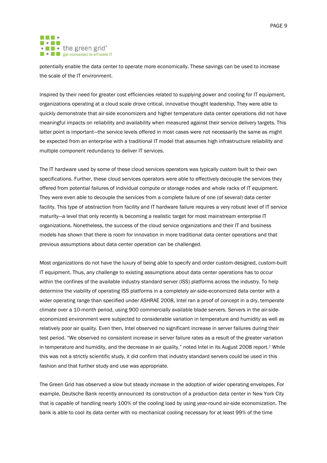PAGE 9

#### . . . **MODES** . I . the green grid<sup>®</sup> **E e E** get connected to efficient IT

potentially enable the data center to operate more economically. These savings can be used to increase the scale of the IT environment.

Inspired by their need for greater cost efficiencies related to supplying power and cooling for IT equipment, organizations operating at a cloud scale drove critical, innovative thought leadership. They were able to quickly demonstrate that air-side economizers and higher temperature data center operations did not have meaningful impacts on reliability and availability when measured against their service delivery targets. This latter point is important—the service levels offered in most cases were not necessarily the same as might be expected from an enterprise with a traditional IT model that assumes high infrastructure reliability and multiple component redundancy to deliver IT services.

The IT hardware used by some of these cloud services operators was typically custom built to their own specifications. Further, these cloud services operators were able to effectively decouple the services they offered from potential failures of individual compute or storage nodes and whole racks of IT equipment. They were even able to decouple the services from a complete failure of one (of several) data center facility. This type of abstraction from facility and IT hardware failure requires a very robust level of IT service maturity—a level that only recently is becoming a realistic target for most mainstream enterprise IT organizations. Nonetheless, the success of the cloud service organizations and their IT and business models has shown that there is room for innovation in more traditional data center operations and that previous assumptions about data center operation can be challenged.

Most organizations do not have the luxury of being able to specify and order custom-designed, custom-built IT equipment. Thus, any challenge to existing assumptions about data center operations has to occur within the confines of the available industry standard server (ISS) platforms across the industry. To help determine the viability of operating ISS platforms in a completely air-side-economized data center with a wider operating range than specified under ASHRAE 2008, Intel ran a proof of concept in a dry, temperate climate over a 10-month period, using 900 commercially available blade servers. Servers in the air-sideeconomized environment were subjected to considerable variation in temperature and humidity as well as relatively poor air quality. Even then, Intel observed no significant increase in server failures during their test period. "We observed no consistent increase in server failure rates as a result of the greater variation in temperature and humidity, and the decrease in air quality," noted Intel in its August 2008 report.<sup>7</sup> While this was not a strictly scientific study, it did confirm that industry standard servers could be used in this fashion and that further study and use was appropriate.

The Green Grid has observed a slow but steady increase in the adoption of wider operating envelopes. For example, Deutsche Bank recently announced its construction of a production data center in New York City that is capable of handling nearly 100% of the cooling load by using year-round air-side economization. The bank is able to cool its data center with no mechanical cooling necessary for at least 99% of the time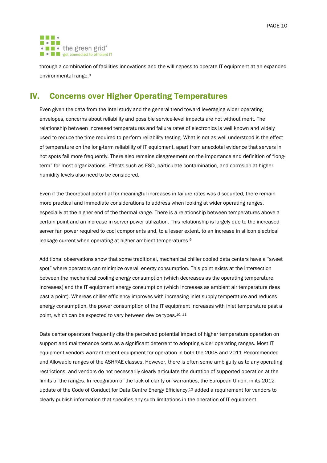

through a combination of facilities innovations and the willingness to operate IT equipment at an expanded environmental range. 8

# <span id="page-9-0"></span>IV. Concerns over Higher Operating Temperatures

Even given the data from the Intel study and the general trend toward leveraging wider operating envelopes, concerns about reliability and possible service-level impacts are not without merit. The relationship between increased temperatures and failure rates of electronics is well known and widely used to reduce the time required to perform reliability testing. What is not as well understood is the effect of temperature on the long-term reliability of IT equipment, apart from anecdotal evidence that servers in hot spots fail more frequently. There also remains disagreement on the importance and definition of "longterm" for most organizations. Effects such as ESD, particulate contamination, and corrosion at higher humidity levels also need to be considered.

Even if the theoretical potential for meaningful increases in failure rates was discounted, there remain more practical and immediate considerations to address when looking at wider operating ranges, especially at the higher end of the thermal range. There is a relationship between temperatures above a certain point and an increase in server power utilization. This relationship is largely due to the increased server fan power required to cool components and, to a lesser extent, to an increase in silicon electrical leakage current when operating at higher ambient temperatures.<sup>9</sup>

<span id="page-9-1"></span>Additional observations show that some traditional, mechanical chiller cooled data centers have a "sweet spot" where operators can minimize overall energy consumption. This point exists at the intersection between the mechanical cooling energy consumption (which decreases as the operating temperature increases) and the IT equipment energy consumption (which increases as ambient air temperature rises past a point). Whereas chiller efficiency improves with increasing inlet supply temperature and reduces energy consumption, the power consumption of the IT equipment increases with inlet temperature past a point, which can be expected to vary between device types.<sup>10, 11</sup>

<span id="page-9-2"></span>Data center operators frequently cite the perceived potential impact of higher temperature operation on support and maintenance costs as a significant deterrent to adopting wider operating ranges. Most IT equipment vendors warrant recent equipment for operation in both the 2008 and 2011 Recommended and Allowable ranges of the ASHRAE classes. However, there is often some ambiguity as to any operating restrictions, and vendors do not necessarily clearly articulate the duration of supported operation at the limits of the ranges. In recognition of the lack of clarity on warranties, the European Union, in its 2012 update of the Code of Conduct for Data Centre Energy Efficiency,<sup>12</sup> added a requirement for vendors to clearly publish information that specifies any such limitations in the operation of IT equipment.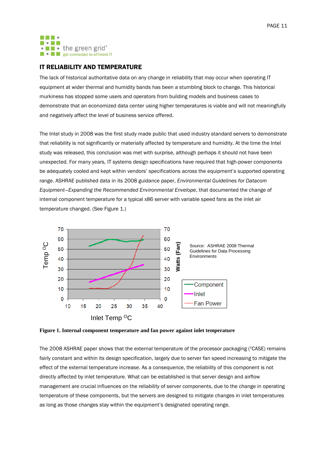

## <span id="page-10-0"></span>IT RELIABILITY AND TEMPERATURE

The lack of historical authoritative data on any change in reliability that may occur when operating IT equipment at wider thermal and humidity bands has been a stumbling block to change. This historical murkiness has stopped some users and operators from building models and business cases to demonstrate that an economized data center using higher temperatures is viable and will not meaningfully and negatively affect the level of business service offered.

The Intel study in 2008 was the first study made public that used industry standard servers to demonstrate that reliability is not significantly or materially affected by temperature and humidity. At the time the Intel study was released, this conclusion was met with surprise, although perhaps it should not have been unexpected. For many years, IT systems design specifications have required that high-power components be adequately cooled and kept within vendors' specifications across the equipment's supported operating range. ASHRAE published data in its 2008 guidance paper, *Environmental Guidelines for Datacom Equipment—Expanding the Recommended Environmental Envelope*, that documented the change of internal component temperature for a typical x86 server with variable speed fans as the inlet air temperature changed. (See [Figure 1.\)](#page-10-1)



<span id="page-10-1"></span>

The 2008 ASHRAE paper shows that the external temperature of the processor packaging (TCASE) remains fairly constant and within its design specification, largely due to server fan speed increasing to mitigate the effect of the external temperature increase. As a consequence, the reliability of this component is not directly affected by inlet temperature. What can be established is that server design and airflow management are crucial influences on the reliability of server components, due to the change in operating temperature of these components, but the servers are designed to mitigate changes in inlet temperatures as long as those changes stay within the equipment's designated operating range.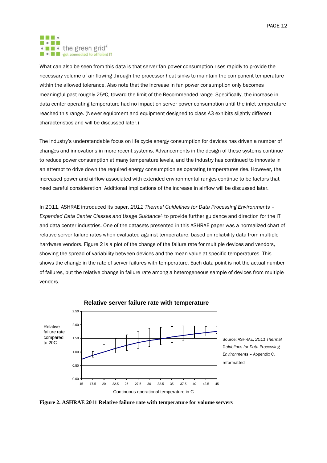#### . . . **MODES**  $\cdot$   $\blacksquare$   $\bullet$  the green grid $\degree$ **E e E** get connected to efficient IT

What can also be seen from this data is that server fan power consumption rises rapidly to provide the necessary volume of air flowing through the processor heat sinks to maintain the component temperature within the allowed tolerance. Also note that the increase in fan power consumption only becomes meaningful past roughly 25°C, toward the limit of the Recommended range. Specifically, the increase in data center operating temperature had no impact on server power consumption until the inlet temperature reached this range. (Newer equipment and equipment designed to class A3 exhibits slightly different characteristics and will be discussed later.)

The industry's understandable focus on life cycle energy consumption for devices has driven a number of changes and innovations in more recent systems. Advancements in the design of these systems continue to reduce power consumption at many temperature levels, and the industry has continued to innovate in an attempt to drive down the required energy consumption as operating temperatures rise. However, the increased power and airflow associated with extended environmental ranges continue to be factors that need careful consideration. Additional implications of the increase in airflow will be discussed later.

In 2011, ASHRAE introduced its paper, *2011 Thermal Guidelines for Data Processing Environments – Expanded Data Center Classes and Usage Guidance*[1](#page-5-1) to provide further guidance and direction for the IT and data center industries. One of the datasets presented in this ASHRAE paper was a normalized chart of relative server failure rates when evaluated against temperature, based on reliability data from multiple hardware vendors. [Figure 2](#page-11-0) is a plot of the change of the failure rate for multiple devices and vendors, showing the spread of variability between devices and the mean value at specific temperatures. This shows the change in the rate of server failures with temperature. Each data point is not the actual number of failures, but the relative change in failure rate among a heterogeneous sample of devices from multiple vendors.



Continuous operational temperature in C

<span id="page-11-0"></span>**Figure 2. ASHRAE 2011 Relative failure rate with temperature for volume servers**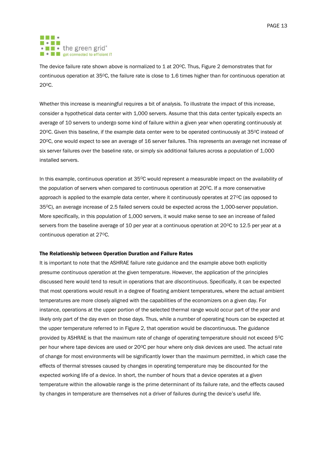#### . . . **Modu** . I . the green grid<sup>®</sup> **E e E** get connected to efficient IT

The device failure rate shown above is normalized to 1 at 20°C. Thus, [Figure 2](#page-11-0) demonstrates that for continuous operation at 35°C, the failure rate is close to 1.6 times higher than for continuous operation at 20<sup>o</sup>C.

Whether this increase is meaningful requires a bit of analysis. To illustrate the impact of this increase, consider a hypothetical data center with 1,000 servers. Assume that this data center typically expects an average of 10 servers to undergo some kind of failure within a given year when operating continuously at 20°C. Given this baseline, if the example data center were to be operated continuously at 35°C instead of 20OC, one would expect to see an average of 16 server failures. This represents an average net increase of six server failures over the baseline rate, or simply six additional failures across a population of 1,000 installed servers.

In this example, continuous operation at 35°C would represent a measurable impact on the availability of the population of servers when compared to continuous operation at 20°C. If a more conservative approach is applied to the example data center, where it continuously operates at  $27^{\circ}$ C (as opposed to 35OC), an average increase of 2.5 failed servers could be expected across the 1,000-server population. More specifically, in this population of 1,000 servers, it would make sense to see an increase of failed servers from the baseline average of 10 per year at a continuous operation at 20°C to 12.5 per year at a continuous operation at 27°C.

#### The Relationship between Operation Duration and Failure Rates

It is important to note that the ASHRAE failure rate guidance and the example above both explicitly presume *continuous operation* at the given temperature. However, the application of the principles discussed here would tend to result in operations that are *discontinuous*. Specifically, it can be expected that most operations would result in a degree of floating ambient temperatures, where the actual ambient temperatures are more closely aligned with the capabilities of the economizers on a given day. For instance, operations at the upper portion of the selected thermal range would occur part of the year and likely only part of the day even on those days. Thus, while a number of operating hours can be expected at the upper temperature referred to in [Figure 2,](#page-11-0) that operation would be discontinuous. The guidance provided by ASHRAE is that the maximum rate of change of operating temperature should not exceed 5°C per hour where tape devices are used or 20°C per hour where only disk devices are used. The actual rate of change for most environments will be significantly lower than the maximum permitted, in which case the effects of thermal stresses caused by changes in operating temperature may be discounted for the expected working life of a device. In short, the number of hours that a device operates at a given temperature within the allowable range is the prime determinant of its failure rate, and the effects caused by changes in temperature are themselves not a driver of failures during the device's useful life.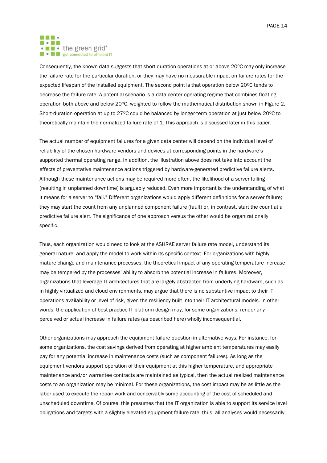PAGE 14

#### . . . **Modu** • **I** • the green grid<sup>®</sup> **E e E** get connected to efficient IT

Consequently, the known data suggests that short-duration operations at or above 20°C may only increase the failure rate for the particular duration, or they may have no measurable impact on failure rates for the expected lifespan of the installed equipment. The second point is that operation below 20°C tends to decrease the failure rate. A potential scenario is a data center operating regime that combines floating operation both above and below 20°C, weighted to follow the mathematical distribution shown in [Figure 2.](#page-11-0) Short-duration operation at up to 27 $\degree$ C could be balanced by longer-term operation at just below 20 $\degree$ C to theoretically maintain the normalized failure rate of 1. This approach is discussed later in this paper.

The actual number of equipment failures for a given data center will depend on the individual level of reliability of the chosen hardware vendors and devices at corresponding points in the hardware's supported thermal operating range. In addition, the illustration above does not take into account the effects of preventative maintenance actions triggered by hardware-generated predictive failure alerts. Although these maintenance actions may be required more often, the likelihood of a server failing (resulting in unplanned downtime) is arguably reduced. Even more important is the understanding of what it means for a server to "fail." Different organizations would apply different definitions for a server failure; they may start the count from any unplanned component failure (fault) or, in contrast, start the count at a predictive failure alert. The significance of one approach versus the other would be organizationally specific.

Thus, each organization would need to look at the ASHRAE server failure rate model, understand its general nature, and apply the model to work within its specific context. For organizations with highly mature change and maintenance processes, the theoretical impact of any operating temperature increase may be tempered by the processes' ability to absorb the potential increase in failures. Moreover, organizations that leverage IT architectures that are largely abstracted from underlying hardware, such as in highly virtualized and cloud environments, may argue that there is no substantive impact to their IT operations availability or level of risk, given the resiliency built into their IT architectural models. In other words, the application of best practice IT platform design may, for some organizations, render any perceived or actual increase in failure rates (as described here) wholly inconsequential.

Other organizations may approach the equipment failure question in alternative ways. For instance, for some organizations, the cost savings derived from operating at higher ambient temperatures may easily pay for any potential increase in maintenance costs (such as component failures). As long as the equipment vendors support operation of their equipment at this higher temperature, and appropriate maintenance and/or warrantee contracts are maintained as typical, then the actual realized maintenance costs to an organization may be minimal. For these organizations, the cost impact may be as little as the labor used to execute the repair work and conceivably some accounting of the cost of scheduled and unscheduled downtime. Of course, this presumes that the IT organization is able to support its service level obligations and targets with a slightly elevated equipment failure rate; thus, all analyses would necessarily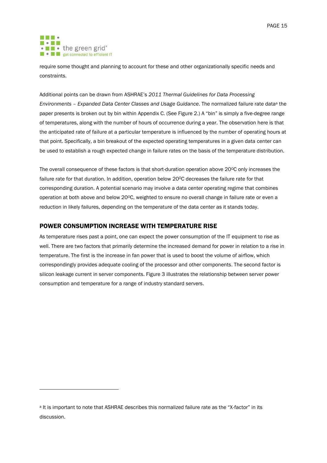#### . . . **MI - 2 MI** • • the green grid\* **E e E** get connected to efficient IT

 $\overline{a}$ 

require some thought and planning to account for these and other organizationally specific needs and constraints.

Additional points can be drawn from ASHRAE's *2011 Thermal Guidelines for Data Processing Environments - Expanded Data Center Classes and Usage Guidance. The normalized failure rate data<sup>a</sup> the* paper presents is broken out by bin within Appendix C. (Se[e Figure 2.](#page-11-0)) A "bin" is simply a five-degree range of temperatures, along with the number of hours of occurrence during a year. The observation here is that the anticipated rate of failure at a particular temperature is influenced by the number of operating hours at that point. Specifically, a bin breakout of the expected operating temperatures in a given data center can be used to establish a rough expected change in failure rates on the basis of the temperature distribution.

The overall consequence of these factors is that short-duration operation above  $20^{\circ}$ C only increases the failure rate for that duration. In addition, operation below 20<sup>o</sup>C decreases the failure rate for that corresponding duration. A potential scenario may involve a data center operating regime that combines operation at both above and below 20<sup>o</sup>C, weighted to ensure no overall change in failure rate or even a reduction in likely failures, depending on the temperature of the data center as it stands today.

## <span id="page-14-0"></span>POWER CONSUMPTION INCREASE WITH TEMPERATURE RISE

As temperature rises past a point, one can expect the power consumption of the IT equipment to rise as well. There are two factors that primarily determine the increased demand for power in relation to a rise in temperature. The first is the increase in fan power that is used to boost the volume of airflow, which correspondingly provides adequate cooling of the processor and other components. The second factor is silicon leakage current in server components. [Figure 3](#page-15-0) illustrates the relationship between server power consumption and temperature for a range of industry standard servers.

a It is important to note that ASHRAE describes this normalized failure rate as the "X-factor" in its discussion.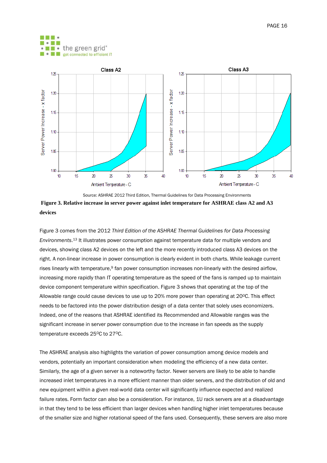



<span id="page-15-0"></span>**Figure 3. Relative increase in server power against inlet temperature for ASHRAE class A2 and A3 devices** Source: ASHRAE 2012 Third Edition, Thermal Guidelines for Data Processing Environments

[Figure 3](#page-15-0) comes from the 2012 *Third Edition of the ASHRAE Thermal Guidelines for Data Processing Environments*. <sup>13</sup> It illustrates power consumption against temperature data for multiple vendors and devices, showing class A2 devices on the left and the more recently introduced class A3 devices on the right. A non-linear increase in power consumption is clearly evident in both charts. While leakage current rises linearly with temperature, [9](#page-9-1) fan power consumption increases non-linearly with the desired airflow, increasing more rapidly than IT operating temperature as the speed of the fans is ramped up to maintain device component temperature within specification. [Figure 3](#page-15-0) shows that operating at the top of the Allowable range could cause devices to use up to 20% more power than operating at 20°C. This effect needs to be factored into the power distribution design of a data center that solely uses economizers. Indeed, one of the reasons that ASHRAE identified its Recommended and Allowable ranges was the significant increase in server power consumption due to the increase in fan speeds as the supply temperature exceeds 25°C to 27°C.

The ASHRAE analysis also highlights the variation of power consumption among device models and vendors, potentially an important consideration when modeling the efficiency of a new data center. Similarly, the age of a given server is a noteworthy factor. Newer servers are likely to be able to handle increased inlet temperatures in a more efficient manner than older servers, and the distribution of old and new equipment within a given real-world data center will significantly influence expected and realized failure rates. Form factor can also be a consideration. For instance, 1U rack servers are at a disadvantage in that they tend to be less efficient than larger devices when handling higher inlet temperatures because of the smaller size and higher rotational speed of the fans used. Consequently, these servers are also more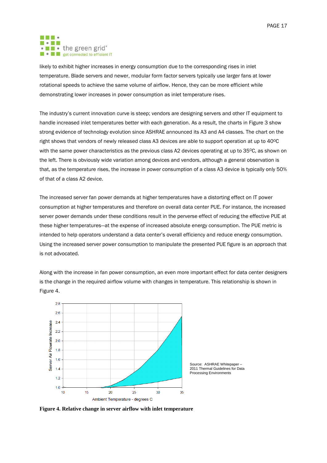#### . . . **MODES**  $\cdot$   $\blacksquare$   $\bullet$  the green grid $\degree$ **CONTRACT OF PERIODICAL PROPERTY OF STATE OF STATE OF STATE OF STATE OF STATE OF STATE OF STATE OF STATE OF STATE OF STATE OF STATE OF STATE OF STATE OF STATE OF STATE OF STATE OF STATE OF STATE OF STATE OF STATE OF STATE**

likely to exhibit higher increases in energy consumption due to the corresponding rises in inlet temperature. Blade servers and newer, modular form factor servers typically use larger fans at lower rotational speeds to achieve the same volume of airflow. Hence, they can be more efficient while demonstrating lower increases in power consumption as inlet temperature rises.

The industry's current innovation curve is steep; vendors are designing servers and other IT equipment to handle increased inlet temperatures better with each generation. As a result, the charts in [Figure 3](#page-15-0) show strong evidence of technology evolution since ASHRAE announced its A3 and A4 classes. The chart on the right shows that vendors of newly released class A3 devices are able to support operation at up to 40°C with the same power characteristics as the previous class A2 devices operating at up to  $35^{\circ}$ C, as shown on the left. There is obviously wide variation among devices and vendors, although a general observation is that, as the temperature rises, the increase in power consumption of a class A3 device is typically only 50% of that of a class A2 device.

The increased server fan power demands at higher temperatures have a distorting effect on IT power consumption at higher temperatures and therefore on overall data center PUE. For instance, the increased server power demands under these conditions result in the perverse effect of reducing the effective PUE at these higher temperatures—at the expense of increased absolute energy consumption. The PUE metric is intended to help operators understand a data center's overall efficiency and reduce energy consumption. Using the increased server power consumption to manipulate the presented PUE figure is an approach that is not advocated.

Along with the increase in fan power consumption, an even more important effect for data center designers is the change in the required airflow volume with changes in temperature. This relationship is shown in [Figure 4.](#page-16-0)



Source: ASHRAE Whitepaper – 2011 Thermal Guidelines for Data Processing Environments

<span id="page-16-0"></span>**Figure 4. Relative change in server airflow with inlet temperature**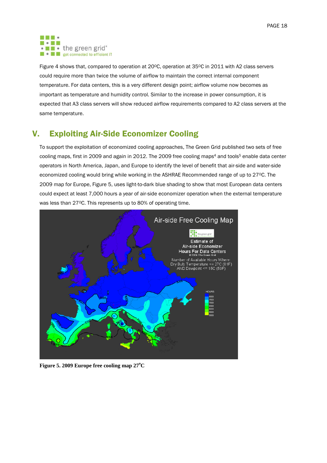#### . . . **MODES** . I . the green grid<sup>®</sup> **CONTRACT OF PERIODICAL PROPERTY OF STATE OF STATE OF STATE OF STATE OF STATE OF STATE OF STATE OF STATE OF STATE OF STATE OF STATE OF STATE OF STATE OF STATE OF STATE OF STATE OF STATE OF STATE OF STATE OF STATE OF STATE**

[Figure 4](#page-16-0) shows that, compared to operation at 20°C, operation at 35°C in 2011 with A2 class servers could require more than twice the volume of airflow to maintain the correct internal component temperature. For data centers, this is a very different design point; airflow volume now becomes as important as temperature and humidity control. Similar to the increase in power consumption, it is expected that A3 class servers will show reduced airflow requirements compared to A2 class servers at the same temperature.

# <span id="page-17-0"></span>V. Exploiting Air-Side Economizer Cooling

To support the exploitation of economized cooling approaches, The Green Grid published two sets of free cooling maps, first in 2009 and again in 2012. The 2009 free cooling maps<sup>[4](#page-7-1)</sup> and tools<sup>[5](#page-7-2)</sup> enable data center operators in North America, Japan, and Europe to identify the level of benefit that air-side and water-side economized cooling would bring while working in the ASHRAE Recommended range of up to 27°C. The 2009 map for Europe, [Figure 5,](#page-17-1) uses light-to-dark blue shading to show that most European data centers could expect at least 7,000 hours a year of air-side economizer operation when the external temperature was less than 27°C. This represents up to 80% of operating time.



<span id="page-17-1"></span>**Figure 5. 2009 Europe free cooling map 27<sup>o</sup>C**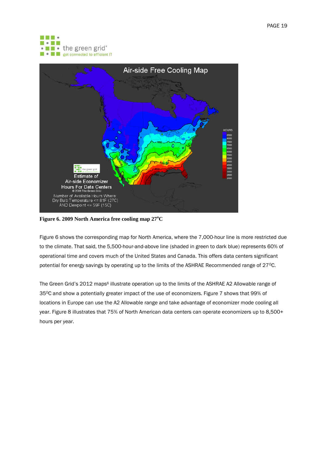



<span id="page-18-0"></span>**Figure 6. 2009 North America free cooling map 27<sup>o</sup>C**

[Figure 6](#page-18-0) shows the corresponding map for North America, where the 7,000-hour line is more restricted due to the climate. That said, the 5,500-hour-and-above line (shaded in green to dark blue) represents 60% of operational time and covers much of the United States and Canada. This offers data centers significant potential for energy savings by operating up to the limits of the ASHRAE Recommended range of 27°C.

The Green Grid'[s](#page-7-3) 2012 maps<sup>6</sup> illustrate operation up to the limits of the ASHRAE A2 Allowable range of 35°C and show a potentially greater impact of the use of economizers. [Figure 7](#page-19-0) shows that 99% of locations in Europe can use the A2 Allowable range and take advantage of economizer mode cooling all year. [Figure 8](#page-19-1) illustrates that 75% of North American data centers can operate economizers up to 8,500+ hours per year.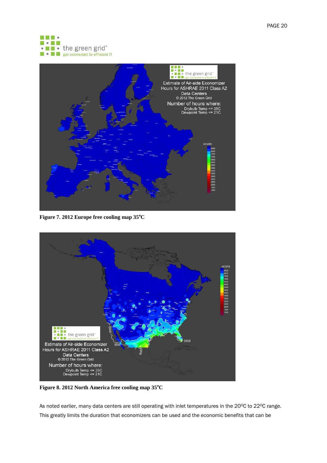



**Figure 7. 2012 Europe free cooling map 35<sup>o</sup>C**

<span id="page-19-0"></span>

<span id="page-19-1"></span>**Figure 8. 2012 North America free cooling map 35<sup>o</sup>C**

As noted earlier, many data centers are still operating with inlet temperatures in the 20°C to 22°C range. This greatly limits the duration that economizers can be used and the economic benefits that can be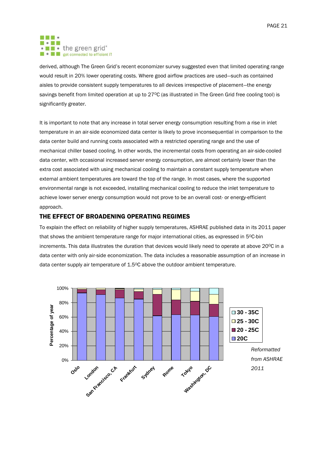#### . . .  $\blacksquare \bullet \blacksquare \blacksquare$ . I . the green grid<sup>®</sup> **D** • **D** get connected to efficient IT

derived, although The Green Grid's recent economizer survey suggested even that limited operating range would result in 20% lower operating costs. Where good airflow practices are used—such as contained aisles to provide consistent supply temperatures to all devices irrespective of placement—the energy savings benefit from limited operation at up to 27°C (as illustrated in The Green Grid free cooling tool) is significantly greater.

It is important to note that any increase in total server energy consumption resulting from a rise in inlet temperature in an air-side economized data center is likely to prove inconsequential in comparison to the data center build and running costs associated with a restricted operating range and the use of mechanical chiller based cooling. In other words, the incremental costs from operating an air-side-cooled data center, with occasional increased server energy consumption, are almost certainly lower than the extra cost associated with using mechanical cooling to maintain a constant supply temperature when external ambient temperatures are toward the top of the range. In most cases, where the supported environmental range is not exceeded, installing mechanical cooling to reduce the inlet temperature to achieve lower server energy consumption would not prove to be an overall cost- or energy-efficient approach.

## <span id="page-20-0"></span>THE EFFECT OF BROADENING OPERATING REGIMES

To explain the effect on reliability of higher supply temperatures, ASHRAE published data in its 2011 paper that shows the ambient temperature range for major international cities, as expressed in 5°C-bin increments. This data illustrates the duration that devices would likely need to operate at above 20°C in a data center with only air-side economization. The data includes a reasonable assumption of an increase in data center supply air temperature of 1.5°C above the outdoor ambient temperature.

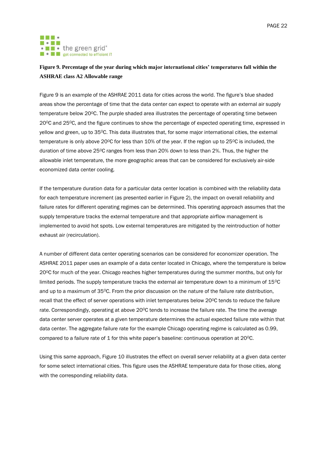#### . . . **MODES**  $\cdot$   $\blacksquare$   $\bullet$  the green grid $\degree$ **E e E** get connected to efficient IT

## <span id="page-21-0"></span>**Figure 9. Percentage of the year during which major international cities' temperatures fall within the ASHRAE class A2 Allowable range**

[Figure 9](#page-21-0) is an example of the ASHRAE 2011 data for cities across the world. The figure's blue shaded areas show the percentage of time that the data center can expect to operate with an external air supply temperature below 20°C. The purple shaded area illustrates the percentage of operating time between 20OC and 25OC, and the figure continues to show the percentage of expected operating time, expressed in yellow and green, up to 35°C. This data illustrates that, for some major international cities, the external temperature is only above 20 $\degree$ C for less than 10% of the year. If the region up to 25 $\degree$ C is included, the duration of time above 25<sup>o</sup>C ranges from less than 20% down to less than 2%. Thus, the higher the allowable inlet temperature, the more geographic areas that can be considered for exclusively air-side economized data center cooling.

If the temperature duration data for a particular data center location is combined with the reliability data for each temperature increment (as presented earlier in [Figure 2\)](#page-11-0), the impact on overall reliability and failure rates for different operating regimes can be determined. This operating approach assumes that the supply temperature tracks the external temperature and that appropriate airflow management is implemented to avoid hot spots. Low external temperatures are mitigated by the reintroduction of hotter exhaust air (recirculation).

A number of different data center operating scenarios can be considered for economizer operation. The ASHRAE 2011 paper uses an example of a data center located in Chicago, where the temperature is below 20OC for much of the year. Chicago reaches higher temperatures during the summer months, but only for limited periods. The supply temperature tracks the external air temperature down to a minimum of 15°C and up to a maximum of 35°C. From the prior discussion on the nature of the failure rate distribution, recall that the effect of server operations with inlet temperatures below 20<sup>o</sup>C tends to reduce the failure rate. Correspondingly, operating at above 20 $\degree$ C tends to increase the failure rate. The time the average data center server operates at a given temperature determines the actual expected failure rate within that data center. The aggregate failure rate for the example Chicago operating regime is calculated as 0.99, compared to a failure rate of 1 for this white paper's baseline: continuous operation at  $20^{\circ}$ C.

Using this same approach, [Figure 10](#page-22-0) illustrates the effect on overall server reliability at a given data center for some select international cities. This figure uses the ASHRAE temperature data for those cities, along with the corresponding reliability data.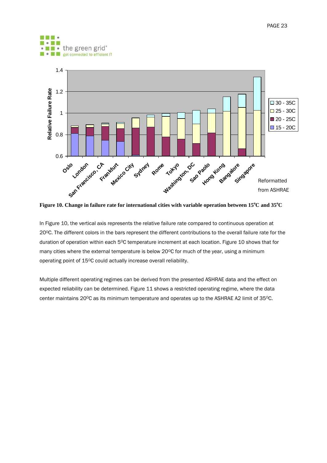



<span id="page-22-0"></span>**Figure 10. Change in failure rate for international cities with variable operation between 15<sup>o</sup>C and 35<sup>o</sup>C**

In [Figure 10,](#page-22-0) the vertical axis represents the relative failure rate compared to continuous operation at 20OC. The different colors in the bars represent the different contributions to the overall failure rate for the duration of operation within each 5°C temperature increment at each location. [Figure 10](#page-22-0) shows that for many cities where the external temperature is below  $20^{\circ}$ C for much of the year, using a minimum operating point of 15°C could actually increase overall reliability.

Multiple different operating regimes can be derived from the presented ASHRAE data and the effect on expected reliability can be determined[. Figure 11](#page-23-0) shows a restricted operating regime, where the data center maintains 20°C as its minimum temperature and operates up to the ASHRAE A2 limit of 35°C.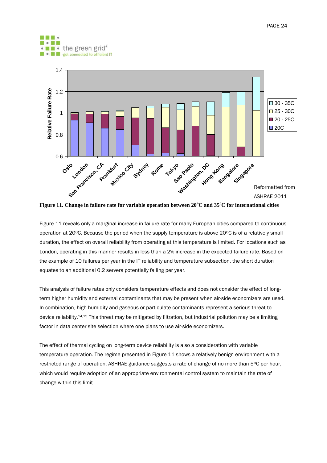



<span id="page-23-0"></span>**Figure 11. Change in failure rate for variable operation between 20<sup>o</sup>C and 35<sup>o</sup>C for international cities**

[Figure 11](#page-23-0) reveals only a marginal increase in failure rate for many European cities compared to continuous operation at 20 $^{\circ}$ C. Because the period when the supply temperature is above 20 $^{\circ}$ C is of a relatively small duration, the effect on overall reliability from operating at this temperature is limited. For locations such as London, operating in this manner results in less than a 2% increase in the expected failure rate. Based on the example of 10 failures per year in the [IT reliability and temperature](#page-10-0) subsection, the short duration equates to an additional 0.2 servers potentially failing per year.

This analysis of failure rates only considers temperature effects and does not consider the effect of longterm higher humidity and external contaminants that may be present when air-side economizers are used. In combination, high humidity and gaseous or particulate contaminants represent a serious threat to device reliability.<sup>14,15</sup> This threat may be mitigated by filtration, but industrial pollution may be a limiting factor in data center site selection where one plans to use air-side economizers.

The effect of thermal cycling on long-term device reliability is also a consideration with variable temperature operation. The regime presented in [Figure 11](#page-23-0) shows a relatively benign environment with a restricted range of operation. ASHRAE guidance suggests a rate of change of no more than 5°C per hour, which would require adoption of an appropriate environmental control system to maintain the rate of change within this limit.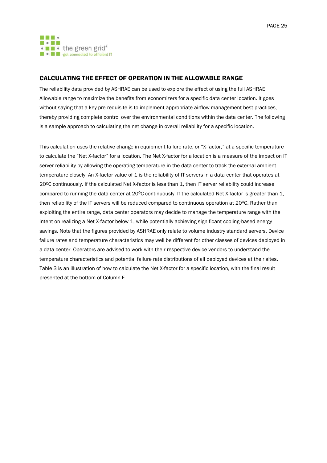

## <span id="page-24-0"></span>CALCULATING THE EFFECT OF OPERATION IN THE ALLOWABLE RANGE

The reliability data provided by ASHRAE can be used to explore the effect of using the full ASHRAE Allowable range to maximize the benefits from economizers for a specific data center location. It goes without saying that a key pre-requisite is to implement appropriate airflow management best practices, thereby providing complete control over the environmental conditions within the data center. The following is a sample approach to calculating the net change in overall reliability for a specific location.

This calculation uses the relative change in equipment failure rate, or "X-factor," at a specific temperature to calculate the "Net X-factor" for a location. The Net X-factor for a location is a measure of the impact on IT server reliability by allowing the operating temperature in the data center to track the external ambient temperature closely. An X-factor value of 1 is the reliability of IT servers in a data center that operates at 20OC continuously. If the calculated Net X-factor is less than 1, then IT server reliability could increase compared to running the data center at 20°C continuously. If the calculated Net X-factor is greater than 1, then reliability of the IT servers will be reduced compared to continuous operation at 20°C. Rather than exploiting the entire range, data center operators may decide to manage the temperature range with the intent on realizing a Net X-factor below 1, while potentially achieving significant cooling-based energy savings. Note that the figures provided by ASHRAE only relate to volume industry standard servers. Device failure rates and temperature characteristics may well be different for other classes of devices deployed in a data center. Operators are advised to work with their respective device vendors to understand the temperature characteristics and potential failure rate distributions of all deployed devices at their sites. [Table 3](#page-25-0) is an illustration of how to calculate the Net X-factor for a specific location, with the final result presented at the bottom of Column F.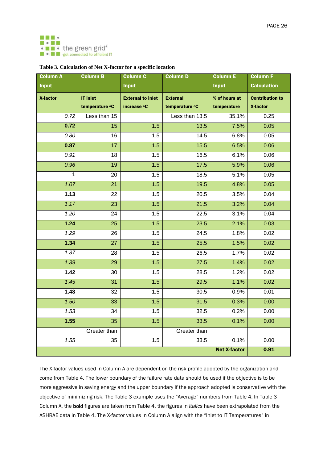

<span id="page-25-0"></span>

| <b>Column A</b>     | <b>Column B</b> | <b>Column C</b>          | <b>Column D</b> | <b>Column E</b> | <b>Column F</b>        |
|---------------------|-----------------|--------------------------|-----------------|-----------------|------------------------|
| <b>Input</b>        |                 | <b>Input</b>             |                 | <b>Input</b>    | <b>Calculation</b>     |
| X-factor            | <b>IT inlet</b> | <b>External to inlet</b> | <b>External</b> | % of hours at   | <b>Contribution to</b> |
|                     | temperature °C  | increase <b>°C</b>       | temperature °C  | temperature     | X-factor               |
| 0.72                | Less than 15    |                          | Less than 13.5  | 35.1%           | 0.25                   |
| 0.72                | 15              | 1.5                      | 13.5            | 7.5%            | 0.05                   |
| 0.80                | 16              | 1.5                      | 14.5            | 6.8%            | 0.05                   |
| 0.87                | 17              | 1.5                      | 15.5            | 6.5%            | 0.06                   |
| 0.91                | 18              | 1.5                      | 16.5            | 6.1%            | 0.06                   |
| 0.96                | 19              | 1.5                      | 17.5            | 5.9%            | 0.06                   |
| 1                   | 20              | 1.5                      | 18.5            | 5.1%            | 0.05                   |
| 1.07                | $\overline{21}$ | 1.5                      | 19.5            | 4.8%            | 0.05                   |
| 1.13                | 22              | 1.5                      | 20.5            | 3.5%            | 0.04                   |
| 1.17                | 23              | 1.5                      | 21.5            | 3.2%            | 0.04                   |
| 1.20                | 24              | 1.5                      | 22.5            | 3.1%            | 0.04                   |
| 1.24                | 25              | 1.5                      | 23.5            | 2.1%            | 0.03                   |
| 1.29                | 26              | 1.5                      | 24.5            | 1.8%            | 0.02                   |
| 1.34                | $\overline{27}$ | 1.5                      | 25.5            | 1.5%            | 0.02                   |
| 1.37                | 28              | 1.5                      | 26.5            | 1.7%            | 0.02                   |
| 1.39                | 29              | 1.5                      | 27.5            | 1.4%            | 0.02                   |
| 1.42                | 30              | 1.5                      | 28.5            | 1.2%            | 0.02                   |
| 1.45                | 31              | 1.5                      | 29.5            | 1.1%            | 0.02                   |
| 1.48                | 32              | 1.5                      | 30.5            | 0.9%            | 0.01                   |
| 1.50                | 33              | 1.5                      | 31.5            | 0.3%            | 0.00                   |
| 1.53                | 34              | 1.5                      | 32.5            | 0.2%            | 0.00                   |
| 1.55                | 35              | 1.5                      | 33.5            | 0.1%            | 0.00                   |
|                     | Greater than    |                          | Greater than    |                 |                        |
| 1.55                | 35              | 1.5                      | 33.5            | 0.1%            | 0.00                   |
| <b>Net X-factor</b> |                 |                          |                 |                 | 0.91                   |

The X-factor values used in Column A are dependent on the risk profile adopted by the organization and come from [Table 4.](#page-26-0) The lower boundary of the failure rate data should be used if the objective is to be more aggressive in saving energy and the upper boundary if the approach adopted is conservative with the objective of minimizing risk. The [Table 3](#page-25-0) example uses the "Average" numbers from [Table 4.](#page-26-0) In [Table 3](#page-25-0) Column A, the bold figures are taken from [Table 4,](#page-26-0) the figures in *italics* have been extrapolated from the ASHRAE data i[n Table 4.](#page-26-0) The X-factor values in Column A align with the "Inlet to IT Temperatures" in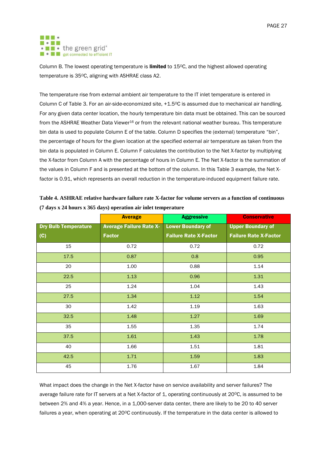#### . . .  $\blacksquare \bullet \blacksquare \blacksquare$ • **I** • the green grid<sup>®</sup> **E e E** get connected to efficient IT

Column B. The lowest operating temperature is limited to 15°C, and the highest allowed operating temperature is 35°C, aligning with ASHRAE class A2.

The temperature rise from external ambient air temperature to the IT inlet temperature is entered in Column C of [Table 3.](#page-25-0) For an air-side-economized site, +1.5°C is assumed due to mechanical air handling. For any given data center location, the hourly temperature bin data must be obtained. This can be sourced from the ASHRAE Weather Data Viewer<sup>16</sup> or from the relevant national weather bureau. This temperature bin data is used to populate Column E of the table. Column D specifies the (external) temperature "bin", the percentage of hours for the given location at the specified external air temperature as taken from the bin data is populated in Column E. Column F calculates the contribution to the Net X-factor by multiplying the X-factor from Column A with the percentage of hours in Column E. The Net X-factor is the summation of the values in Column F and is presented at the bottom of the column. In this [Table 3](#page-25-0) example, the Net Xfactor is 0.91, which represents an overall reduction in the temperature-induced equipment failure rate.

<span id="page-26-0"></span>

| Table 4. ASHRAE relative hardware failure rate X-factor for volume servers as a function of continuous |  |
|--------------------------------------------------------------------------------------------------------|--|
| $(7 \text{ days} \times 24 \text{ hours} \times 365 \text{ days})$ operation air inlet temperature     |  |

|                             | <b>Average</b>                 | <b>Aggressive</b>            | <b>Conservative</b>          |
|-----------------------------|--------------------------------|------------------------------|------------------------------|
| <b>Dry Bulb Temperature</b> | <b>Average Failure Rate X-</b> | <b>Lower Boundary of</b>     | <b>Upper Boundary of</b>     |
| (C)                         | <b>Factor</b>                  | <b>Failure Rate X-Factor</b> | <b>Failure Rate X-Factor</b> |
| 15                          | 0.72                           | 0.72                         | 0.72                         |
| 17.5                        | 0.87                           | 0.8                          | 0.95                         |
| 20                          | 1.00                           | 0.88                         | 1.14                         |
| 22.5                        | 1.13                           | 0.96                         | 1.31                         |
| 25                          | 1.24                           | 1.04                         | 1.43                         |
| 27.5                        | 1.34                           | 1.12                         | 1.54                         |
| 30                          | 1.42                           | 1.19                         | 1.63                         |
| 32.5                        | 1.48                           | 1.27                         | 1.69                         |
| 35                          | 1.55                           | 1.35                         | 1.74                         |
| 37.5                        | 1.61                           | 1.43                         | 1.78                         |
| 40                          | 1.66                           | 1.51                         | 1.81                         |
| 42.5                        | 1.71                           | 1.59                         | 1.83                         |
| 45                          | 1.76                           | 1.67                         | 1.84                         |

What impact does the change in the Net X-factor have on service availability and server failures? The average failure rate for IT servers at a Net X-factor of 1, operating continuously at 20<sup>o</sup>C, is assumed to be between 2% and 4% a year. Hence, in a 1,000-server data center, there are likely to be 20 to 40 server failures a year, when operating at 20°C continuously. If the temperature in the data center is allowed to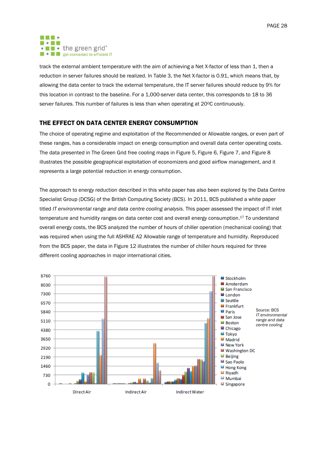

track the external ambient temperature with the aim of achieving a Net X-factor of less than 1, then a reduction in server failures should be realized. In [Table 3,](#page-25-0) the Net X-factor is 0.91, which means that, by allowing the data center to track the external temperature, the IT server failures should reduce by 9% for this location in contrast to the baseline. For a 1,000-server data center, this corresponds to 18 to 36 server failures. This number of failures is less than when operating at 20°C continuously.

## <span id="page-27-0"></span>THE EFFECT ON DATA CENTER ENERGY CONSUMPTION

The choice of operating regime and exploitation of the Recommended or Allowable ranges, or even part of these ranges, has a considerable impact on energy consumption and overall data center operating costs. The data presented in The Green Grid free cooling maps in [Figure 5,](#page-17-1) [Figure 6,](#page-18-0) [Figure 7,](#page-19-0) and [Figure 8](#page-19-1) illustrates the possible geographical exploitation of economizers and good airflow management, and it represents a large potential reduction in energy consumption.

The approach to energy reduction described in this white paper has also been explored by the Data Centre Specialist Group (DCSG) of the British Computing Society (BCS). In 2011, BCS published a white paper titled *IT environmental range and data centre cooling analysis*. This paper assessed the impact of IT inlet temperature and humidity ranges on data center cost and overall energy consumption. <sup>17</sup> To understand overall energy costs, the BCS analyzed the number of hours of chiller operation (mechanical cooling) that was required when using the full ASHRAE A2 Allowable range of temperature and humidity. Reproduced from the BCS paper, the data in [Figure 12](#page-28-1) illustrates the number of chiller hours required for three different cooling approaches in major international cities.

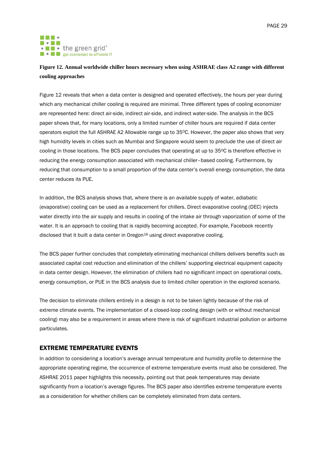#### . . . **MI - 2 MI** • • the green grid\* **E e E** get connected to efficient IT

## <span id="page-28-1"></span>**Figure 12. Annual worldwide chiller hours necessary when using ASHRAE class A2 range with different cooling approaches**

[Figure 12](#page-28-1) reveals that when a data center is designed and operated effectively, the hours per year during which any mechanical chiller cooling is required are minimal. Three different types of cooling economizer are represented here: direct air-side, indirect air-side, and indirect water-side. The analysis in the BCS paper shows that, for many locations, only a limited number of chiller hours are required if data center operators exploit the full ASHRAE A2 Allowable range up to 35°C. However, the paper also shows that very high humidity levels in cities such as Mumbai and Singapore would seem to preclude the use of direct air cooling in those locations. The BCS paper concludes that operating at up to 35°C is therefore effective in reducing the energy consumption associated with mechanical chiller–based cooling. Furthermore, by reducing that consumption to a small proportion of the data center's overall energy consumption, the data center reduces its PUE.

In addition, the BCS analysis shows that, where there is an available supply of water, adiabatic (evaporative) cooling can be used as a replacement for chillers. Direct evaporative cooling (DEC) injects water directly into the air supply and results in cooling of the intake air through vaporization of some of the water. It is an approach to cooling that is rapidly becoming accepted. For example, Facebook recently disclosed that it built a data center in Oregon<sup>18</sup> using direct evaporative cooling.

The BCS paper further concludes that completely eliminating mechanical chillers delivers benefits such as associated capital cost reduction and elimination of the chillers' supporting electrical equipment capacity in data center design. However, the elimination of chillers had no significant impact on operational costs, energy consumption, or PUE in the BCS analysis due to limited chiller operation in the explored scenario.

The decision to eliminate chillers entirely in a design is not to be taken lightly because of the risk of extreme climate events. The implementation of a closed-loop cooling design (with or without mechanical cooling) may also be a requirement in areas where there is risk of significant industrial pollution or airborne particulates.

## <span id="page-28-0"></span>EXTREME TEMPERATURE EVENTS

In addition to considering a location's average annual temperature and humidity profile to determine the appropriate operating regime, the occurrence of extreme temperature events must also be considered. The ASHRAE 2011 paper highlights this necessity, pointing out that peak temperatures may deviate significantly from a location's average figures. The BCS paper also identifies extreme temperature events as a consideration for whether chillers can be completely eliminated from data centers.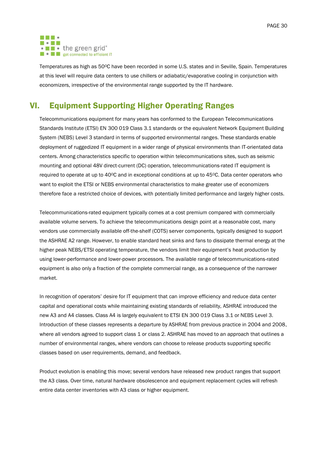

Temperatures as high as 50°C have been recorded in some U.S. states and in Seville, Spain. Temperatures at this level will require data centers to use chillers or adiabatic/evaporative cooling in conjunction with economizers, irrespective of the environmental range supported by the IT hardware.

# <span id="page-29-0"></span>VI. Equipment Supporting Higher Operating Ranges

Telecommunications equipment for many years has conformed to the European Telecommunications Standards Institute (ETSI) EN 300 019 Class 3.1 standards or the equivalent Network Equipment Building System (NEBS) Level 3 standard in terms of supported environmental ranges. These standards enable deployment of ruggedized IT equipment in a wider range of physical environments than IT-orientated data centers. Among characteristics specific to operation within telecommunications sites, such as seismic mounting and optional 48V direct-current (DC) operation, telecommunications-rated IT equipment is required to operate at up to  $40^{\circ}$ C and in exceptional conditions at up to  $45^{\circ}$ C. Data center operators who want to exploit the ETSI or NEBS environmental characteristics to make greater use of economizers therefore face a restricted choice of devices, with potentially limited performance and largely higher costs.

Telecommunications-rated equipment typically comes at a cost premium compared with commercially available volume servers. To achieve the telecommunications design point at a reasonable cost, many vendors use commercially available off-the-shelf (COTS) server components, typically designed to support the ASHRAE A2 range. However, to enable standard heat sinks and fans to dissipate thermal energy at the higher peak NEBS/ETSI operating temperature, the vendors limit their equipment's heat production by using lower-performance and lower-power processors. The available range of telecommunications-rated equipment is also only a fraction of the complete commercial range, as a consequence of the narrower market.

In recognition of operators' desire for IT equipment that can improve efficiency and reduce data center capital and operational costs while maintaining existing standards of reliability, ASHRAE introduced the new A3 and A4 classes. Class A4 is largely equivalent to ETSI EN 300 019 Class 3.1 or NEBS Level 3. Introduction of these classes represents a departure by ASHRAE from previous practice in 2004 and 2008, where all vendors agreed to support class 1 or class 2. ASHRAE has moved to an approach that outlines a number of environmental ranges, where vendors can choose to release products supporting specific classes based on user requirements, demand, and feedback.

Product evolution is enabling this move; several vendors have released new product ranges that support the A3 class. Over time, natural hardware obsolescence and equipment replacement cycles will refresh entire data center inventories with A3 class or higher equipment.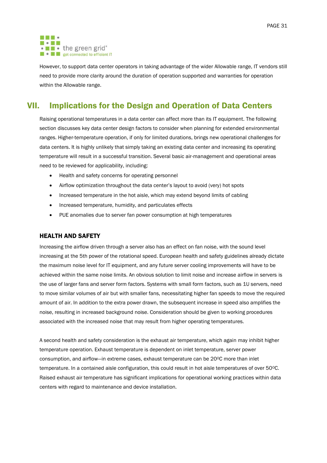

However, to support data center operators in taking advantage of the wider Allowable range, IT vendors still need to provide more clarity around the duration of operation supported and warranties for operation within the Allowable range.

# <span id="page-30-0"></span>VII. Implications for the Design and Operation of Data Centers

Raising operational temperatures in a data center can affect more than its IT equipment. The following section discusses key data center design factors to consider when planning for extended environmental ranges. Higher-temperature operation, if only for limited durations, brings new operational challenges for data centers. It is highly unlikely that simply taking an existing data center and increasing its operating temperature will result in a successful transition. Several basic air-management and operational areas need to be reviewed for applicability, including:

- Health and safety concerns for operating personnel
- Airflow optimization throughout the data center's layout to avoid (very) hot spots
- Increased temperature in the hot aisle, which may extend beyond limits of cabling
- Increased temperature, humidity, and particulates effects
- PUE anomalies due to server fan power consumption at high temperatures

## <span id="page-30-1"></span>HEALTH AND SAFETY

Increasing the airflow driven through a server also has an effect on fan noise, with the sound level increasing at the 5th power of the rotational speed. European health and safety guidelines already dictate the maximum noise level for IT equipment, and any future server cooling improvements will have to be achieved within the same noise limits. An obvious solution to limit noise and increase airflow in servers is the use of larger fans and server form factors. Systems with small form factors, such as 1U servers, need to move similar volumes of air but with smaller fans, necessitating higher fan speeds to move the required amount of air. In addition to the extra power drawn, the subsequent increase in speed also amplifies the noise, resulting in increased background noise. Consideration should be given to working procedures associated with the increased noise that may result from higher operating temperatures.

A second health and safety consideration is the exhaust air temperature, which again may inhibit higher temperature operation. Exhaust temperature is dependent on inlet temperature, server power consumption, and airflow-in extreme cases, exhaust temperature can be 20°C more than inlet temperature. In a contained aisle configuration, this could result in hot aisle temperatures of over 50°C. Raised exhaust air temperature has significant implications for operational working practices within data centers with regard to maintenance and device installation.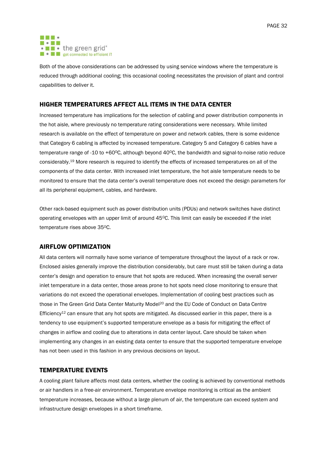

Both of the above considerations can be addressed by using service windows where the temperature is reduced through additional cooling; this occasional cooling necessitates the provision of plant and control capabilities to deliver it.

## <span id="page-31-0"></span>HIGHER TEMPERATURES AFFECT ALL ITEMS IN THE DATA CENTER

Increased temperature has implications for the selection of cabling and power distribution components in the hot aisle, where previously no temperature rating considerations were necessary. While limited research is available on the effect of temperature on power and network cables, there is some evidence that Category 6 cabling is affected by increased temperature. Category 5 and Category 6 cables have a temperature range of -10 to +60 $^{\circ}$ C, although beyond 40 $^{\circ}$ C, the bandwidth and signal-to-noise ratio reduce considerably. <sup>19</sup> More research is required to identify the effects of increased temperatures on all of the components of the data center. With increased inlet temperature, the hot aisle temperature needs to be monitored to ensure that the data center's overall temperature does not exceed the design parameters for all its peripheral equipment, cables, and hardware.

Other rack-based equipment such as power distribution units (PDUs) and network switches have distinct operating envelopes with an upper limit of around 45°C. This limit can easily be exceeded if the inlet temperature rises above 35°C.

## <span id="page-31-1"></span>AIRFLOW OPTIMIZATION

All data centers will normally have some variance of temperature throughout the layout of a rack or row. Enclosed aisles generally improve the distribution considerably, but care must still be taken during a data center's design and operation to ensure that hot spots are reduced. When increasing the overall server inlet temperature in a data center, those areas prone to hot spots need close monitoring to ensure that variations do not exceed the operational envelopes. Implementation of cooling best practices such as those in The Green Grid Data Center Maturity Model<sup>20</sup> and the EU Code of Conduct on Data Centre Efficiency<sup>[12](#page-9-2)</sup> can ensure that any hot spots are mitigated. As discussed earlier in this paper, there is a tendency to use equipment's supported temperature envelope as a basis for mitigating the effect of changes in airflow and cooling due to alterations in data center layout. Care should be taken when implementing any changes in an existing data center to ensure that the supported temperature envelope has not been used in this fashion in any previous decisions on layout.

## <span id="page-31-2"></span>TEMPERATURE EVENTS

A cooling plant failure affects most data centers, whether the cooling is achieved by conventional methods or air handlers in a free-air environment. Temperature envelope monitoring is critical as the ambient temperature increases, because without a large plenum of air, the temperature can exceed system and infrastructure design envelopes in a short timeframe.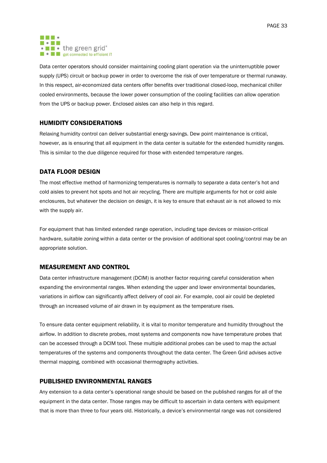

Data center operators should consider maintaining cooling plant operation via the uninterruptible power supply (UPS) circuit or backup power in order to overcome the risk of over temperature or thermal runaway. In this respect, air-economized data centers offer benefits over traditional closed-loop, mechanical chiller cooled environments, because the lower power consumption of the cooling facilities can allow operation from the UPS or backup power. Enclosed aisles can also help in this regard.

## <span id="page-32-0"></span>HUMIDITY CONSIDERATIONS

Relaxing humidity control can deliver substantial energy savings. Dew point maintenance is critical, however, as is ensuring that all equipment in the data center is suitable for the extended humidity ranges. This is similar to the due diligence required for those with extended temperature ranges.

## <span id="page-32-1"></span>DATA FLOOR DESIGN

The most effective method of harmonizing temperatures is normally to separate a data center's hot and cold aisles to prevent hot spots and hot air recycling. There are multiple arguments for hot or cold aisle enclosures, but whatever the decision on design, it is key to ensure that exhaust air is not allowed to mix with the supply air.

For equipment that has limited extended range operation, including tape devices or mission-critical hardware, suitable zoning within a data center or the provision of additional spot cooling/control may be an appropriate solution.

## <span id="page-32-2"></span>MEASUREMENT AND CONTROL

Data center infrastructure management (DCIM) is another factor requiring careful consideration when expanding the environmental ranges. When extending the upper and lower environmental boundaries, variations in airflow can significantly affect delivery of cool air. For example, cool air could be depleted through an increased volume of air drawn in by equipment as the temperature rises.

To ensure data center equipment reliability, it is vital to monitor temperature and humidity throughout the airflow. In addition to discrete probes, most systems and components now have temperature probes that can be accessed through a DCIM tool. These multiple additional probes can be used to map the actual temperatures of the systems and components throughout the data center. The Green Grid advises active thermal mapping, combined with occasional thermography activities.

## <span id="page-32-3"></span>PUBLISHED ENVIRONMENTAL RANGES

Any extension to a data center's operational range should be based on the published ranges for all of the equipment in the data center. Those ranges may be difficult to ascertain in data centers with equipment that is more than three to four years old. Historically, a device's environmental range was not considered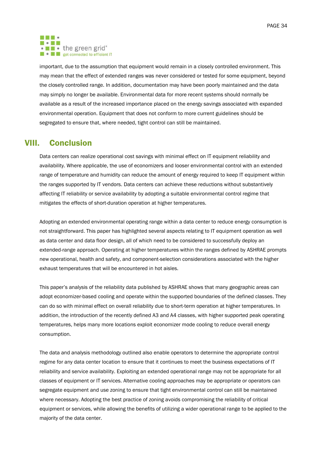#### . . . **MODES** • • the green grid<sup>®</sup> **E e E** get connected to efficient IT

important, due to the assumption that equipment would remain in a closely controlled environment. This may mean that the effect of extended ranges was never considered or tested for some equipment, beyond the closely controlled range. In addition, documentation may have been poorly maintained and the data may simply no longer be available. Environmental data for more recent systems should normally be available as a result of the increased importance placed on the energy savings associated with expanded environmental operation. Equipment that does not conform to more current guidelines should be segregated to ensure that, where needed, tight control can still be maintained.

# <span id="page-33-0"></span>VIII. Conclusion

Data centers can realize operational cost savings with minimal effect on IT equipment reliability and availability. Where applicable, the use of economizers and looser environmental control with an extended range of temperature and humidity can reduce the amount of energy required to keep IT equipment within the ranges supported by IT vendors. Data centers can achieve these reductions without substantively affecting IT reliability or service availability by adopting a suitable environmental control regime that mitigates the effects of short-duration operation at higher temperatures.

Adopting an extended environmental operating range within a data center to reduce energy consumption is not straightforward. This paper has highlighted several aspects relating to IT equipment operation as well as data center and data floor design, all of which need to be considered to successfully deploy an extended-range approach. Operating at higher temperatures within the ranges defined by ASHRAE prompts new operational, health and safety, and component-selection considerations associated with the higher exhaust temperatures that will be encountered in hot aisles.

This paper's analysis of the reliability data published by ASHRAE shows that many geographic areas can adopt economizer-based cooling and operate within the supported boundaries of the defined classes. They can do so with minimal effect on overall reliability due to short-term operation at higher temperatures. In addition, the introduction of the recently defined A3 and A4 classes, with higher supported peak operating temperatures, helps many more locations exploit economizer mode cooling to reduce overall energy consumption.

The data and analysis methodology outlined also enable operators to determine the appropriate control regime for any data center location to ensure that it continues to meet the business expectations of IT reliability and service availability. Exploiting an extended operational range may not be appropriate for all classes of equipment or IT services. Alternative cooling approaches may be appropriate or operators can segregate equipment and use zoning to ensure that tight environmental control can still be maintained where necessary. Adopting the best practice of zoning avoids compromising the reliability of critical equipment or services, while allowing the benefits of utilizing a wider operational range to be applied to the majority of the data center.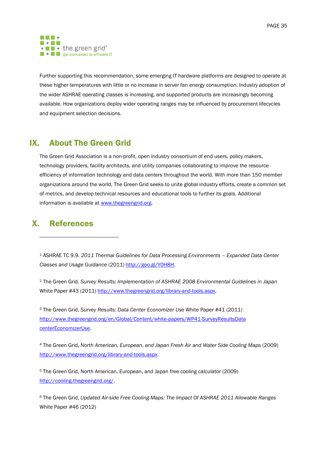

Further supporting this recommendation, some emerging IT hardware platforms are designed to operate at these higher temperatures with little or no increase in server fan energy consumption. Industry adoption of the wider ASHRAE operating classes is increasing, and supported products are increasingly becoming available. How organizations deploy wider operating ranges may be influenced by procurement lifecycles and equipment selection decisions.

# <span id="page-34-0"></span>IX. About The Green Grid

The Green Grid Association is a non-profit, open industry consortium of end users, policy makers, technology providers, facility architects, and utility companies collaborating to improve the resource efficiency of information technology and data centers throughout the world. With more than 150 member organizations around the world, The Green Grid seeks to unite global industry efforts, create a common set of metrics, and develop technical resources and educational tools to further its goals. Additional information is available at [www.thegreengrid.org.](http://www.thegreengrid.org/)

# <span id="page-34-1"></span>X. References

-

<sup>1</sup> ASHRAE TC 9.9. *2011 Thermal Guidelines for Data Processing Environments – Expanded Data Center Classes and Usage Guidance* (2011) [http://goo.gl/Y0H8H.](http://goo.gl/Y0H8H)

<sup>2</sup> The Green Grid. *Survey Results: Implementation of ASHRAE 2008 Environmental Guidelines in Japan*  White Paper #43 (2011) [http://www.thegreengrid.org/library-and-tools.aspx.](http://www.thegreengrid.org/library-and-tools.aspx)

<sup>3</sup> The Green Grid, *Survey Results: Data Center Economizer Use* White Paper #41 (2011) [http://www.thegreengrid.org/en/Global/Content/white-papers/WP41-SurveyResultsData](http://www.thegreengrid.org/en/Global/Content/white-papers/WP41-SurveyResultsData%20centerEconomizerUse)  [centerEconomizerUse.](http://www.thegreengrid.org/en/Global/Content/white-papers/WP41-SurveyResultsData%20centerEconomizerUse)

<sup>4</sup> The Green Grid, *North American, European*, *and Japan Fresh Air and Water Side Cooling Maps* (2009) [http://www.thegreengrid.org/library-and-tools.aspx.](http://www.thegreengrid.org/library-and-tools.aspx)

<sup>5</sup> The Green Grid, North American, European, and Japan free cooling calculator (2009) [http://cooling.thegreengrid.org/.](http://cooling.thegreengrid.org/)

<sup>6</sup> The Green Grid, *Updated Air-side Free Cooling Maps: The Impact Of ASHRAE 2011 Allowable Ranges* White Paper #46 (2012)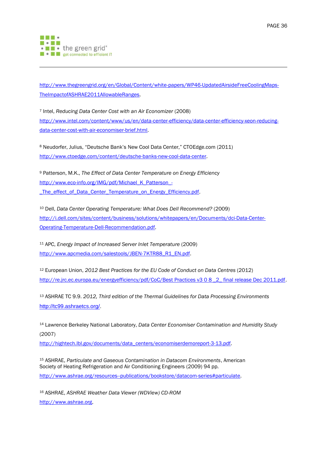

-

[http://www.thegreengrid.org/en/Global/Content/white-papers/WP46-UpdatedAirsideFreeCoolingMaps-](http://www.thegreengrid.org/en/Global/Content/white-papers/WP46-UpdatedAirsideFreeCoolingMaps-TheImpactofASHRAE2011AllowableRanges)[TheImpactofASHRAE2011AllowableRanges.](http://www.thegreengrid.org/en/Global/Content/white-papers/WP46-UpdatedAirsideFreeCoolingMaps-TheImpactofASHRAE2011AllowableRanges)

<sup>7</sup> Intel, *Reducing Data Center Cost with an Air Economizer* (2008) [http://www.intel.com/content/www/us/en/data-center-efficiency/data-center-efficiency-xeon-reducing](http://www.intel.com/content/www/us/en/data-center-efficiency/data-center-efficiency-xeon-reducing-data-center-cost-with-air-economizer-brief.html)[data-center-cost-with-air-economiser-brief.html.](http://www.intel.com/content/www/us/en/data-center-efficiency/data-center-efficiency-xeon-reducing-data-center-cost-with-air-economizer-brief.html)

<sup>8</sup> Neudorfer, Julius, "Deutsche Bank's New Cool Data Center," CTOEdge.com (2011) [http://www.ctoedge.com/content/deutsche-banks-new-cool-data-center.](http://www.ctoedge.com/content/deutsche-banks-new-cool-data-center)

<sup>9</sup> Patterson, M.K., *The Effect of Data Center Temperature on Energy Efficiency* [http://www.eco-info.org/IMG/pdf/Michael\\_K\\_Patterson\\_-](http://www.eco-info.org/IMG/pdf/Michael_K_Patterson_-_The_effect_of_Data_Center_Temperature_on_Energy_Efficiency.pdf) [\\_The\\_effect\\_of\\_Data\\_Center\\_Temperature\\_on\\_Energy\\_Efficiency.pdf.](http://www.eco-info.org/IMG/pdf/Michael_K_Patterson_-_The_effect_of_Data_Center_Temperature_on_Energy_Efficiency.pdf)

<sup>10</sup> Dell, *Data Center Operating Temperature: What Does Dell Recommend?* (2009) [http://i.dell.com/sites/content/business/solutions/whitepapers/en/Documents/dci-Data-Center-](http://i.dell.com/sites/content/business/solutions/whitepapers/en/Documents/dci-Data-Center-Operating-Temperature-Dell-Recommendation.pdf)[Operating-Temperature-Dell-Recommendation.pdf.](http://i.dell.com/sites/content/business/solutions/whitepapers/en/Documents/dci-Data-Center-Operating-Temperature-Dell-Recommendation.pdf)

<sup>11</sup> APC, *Energy Impact of Increased Server Inlet Temperature* (2009) [http://www.apcmedia.com/salestools/JBEN-7KTR88\\_R1\\_EN.pdf.](http://www.apcmedia.com/salestools/JBEN-7KTR88_R1_EN.pdf)

<sup>12</sup> European Union, *2012 Best Practices for the EU Code of Conduct on Data Centres* (2012) http://re.jrc.ec.europa.eu/energyefficiency/pdf/CoC/Best Practices v3 0 8 2 final release Dec 2011.pdf.

<sup>13</sup> ASHRAE TC 9.9. *2012, Third edition of the Thermal Guidelines for Data Processing Environments* [http://tc99.ashraetcs.org/.](http://tc99.ashraetcs.org/)

<sup>14</sup> Lawrence Berkeley National Laboratory, *Data Center Economiser Contamination and Humidity Study* (2007)

[http://hightech.lbl.gov/documents/data\\_centers/economiserdemoreport-3-13.pdf.](http://hightech.lbl.gov/documents/data_centers/economizerdemoreport-3-13.pdf)

<sup>15</sup> ASHRAE, *Particulate and Gaseous Contamination in Datacom Environments*, American Society of Heating Refrigeration and Air Conditioning Engineers (2009) 94 pp. [http://www.ashrae.org/resources--publications/bookstore/datacom-series#particulate.](http://www.ashrae.org/resources--publications/bookstore/datacom-series%23particulate)

<sup>16</sup> ASHRAE, *ASHRAE Weather Data Viewer (WDView) CD-ROM* [http://www.ashrae.org.](http://www.ashrae.org/)